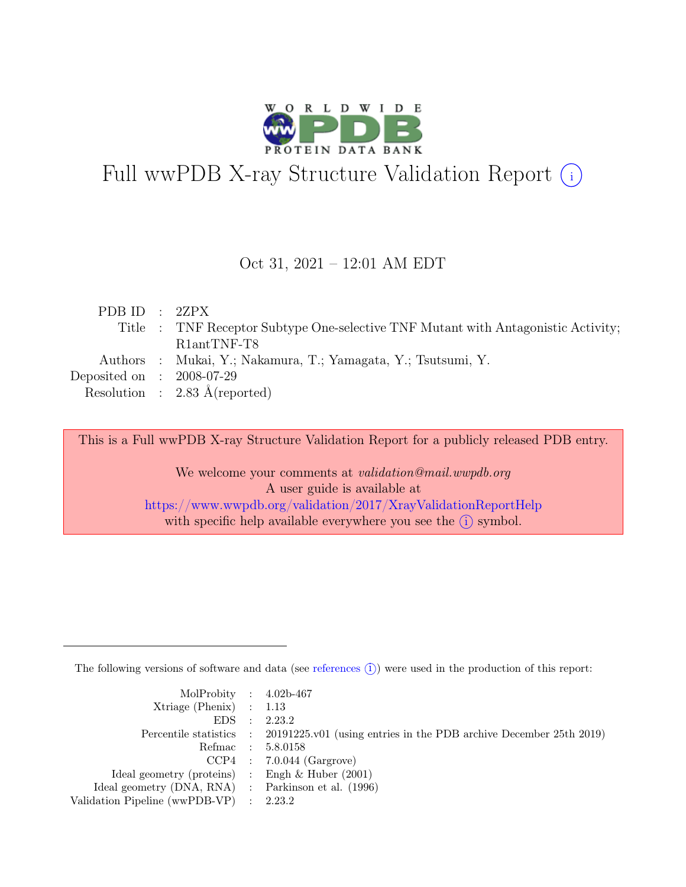

# Full wwPDB X-ray Structure Validation Report  $(i)$

#### Oct 31, 2021 – 12:01 AM EDT

| PDB ID : 2ZPX               |                                                                                   |
|-----------------------------|-----------------------------------------------------------------------------------|
|                             | Title : TNF Receptor Subtype One-selective TNF Mutant with Antagonistic Activity; |
|                             | R <sub>1</sub> antTNF-T <sub>8</sub>                                              |
|                             | Authors : Mukai, Y.; Nakamura, T.; Yamagata, Y.; Tsutsumi, Y.                     |
| Deposited on : $2008-07-29$ |                                                                                   |
|                             | Resolution : $2.83 \text{ Å}$ (reported)                                          |

This is a Full wwPDB X-ray Structure Validation Report for a publicly released PDB entry.

We welcome your comments at validation@mail.wwpdb.org A user guide is available at <https://www.wwpdb.org/validation/2017/XrayValidationReportHelp> with specific help available everywhere you see the  $(i)$  symbol.

The following versions of software and data (see [references](https://www.wwpdb.org/validation/2017/XrayValidationReportHelp#references)  $(i)$ ) were used in the production of this report:

| MolProbity : $4.02b-467$                            |                                                                                            |
|-----------------------------------------------------|--------------------------------------------------------------------------------------------|
| $Xtriangle (Phenix)$ : 1.13                         |                                                                                            |
|                                                     | EDS : 2.23.2                                                                               |
|                                                     | Percentile statistics : 20191225.v01 (using entries in the PDB archive December 25th 2019) |
|                                                     | Refmac : 5.8.0158                                                                          |
|                                                     | $CCP4$ : 7.0.044 (Gargrove)                                                                |
| Ideal geometry (proteins) : Engh $\&$ Huber (2001)  |                                                                                            |
| Ideal geometry (DNA, RNA) : Parkinson et al. (1996) |                                                                                            |
| Validation Pipeline (wwPDB-VP) : 2.23.2             |                                                                                            |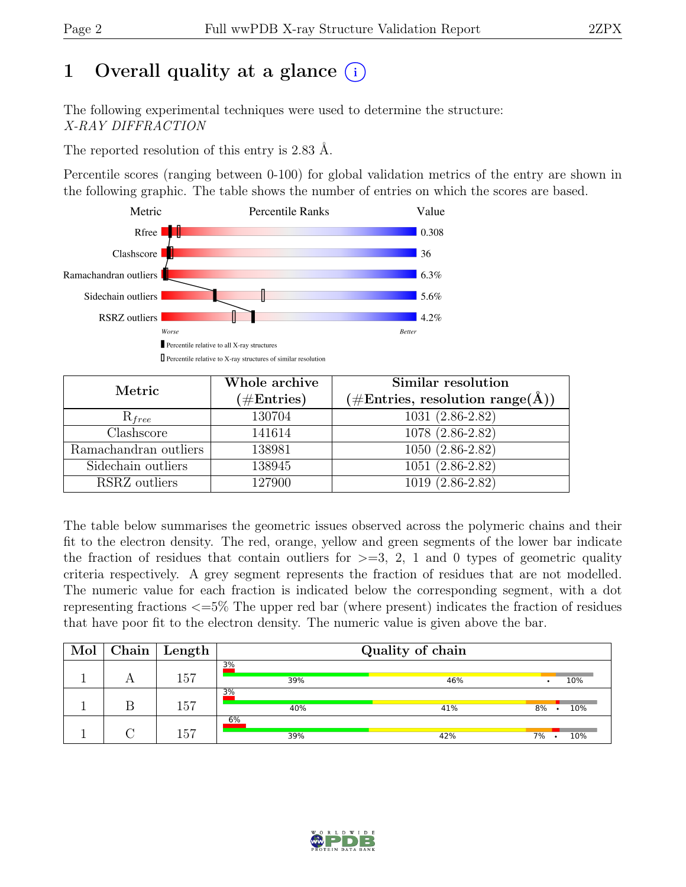# 1 Overall quality at a glance  $(i)$

The following experimental techniques were used to determine the structure: X-RAY DIFFRACTION

The reported resolution of this entry is 2.83 Å.

Percentile scores (ranging between 0-100) for global validation metrics of the entry are shown in the following graphic. The table shows the number of entries on which the scores are based.



| Metric                | Whole archive<br>$(\#\text{Entries})$ | Similar resolution<br>$(\# \text{Entries}, \text{ resolution } \text{range}(\AA))$ |
|-----------------------|---------------------------------------|------------------------------------------------------------------------------------|
| $R_{free}$            | 130704                                | $1031(2.86-2.82)$                                                                  |
| Clashscore            | 141614                                | 1078 (2.86-2.82)                                                                   |
| Ramachandran outliers | 138981                                | $1050(2.86-2.82)$                                                                  |
| Sidechain outliers    | 138945                                | $1051(2.86-2.82)$                                                                  |
| RSRZ outliers         | 127900                                | $1019(2.86-2.82)$                                                                  |

The table below summarises the geometric issues observed across the polymeric chains and their fit to the electron density. The red, orange, yellow and green segments of the lower bar indicate the fraction of residues that contain outliers for  $\geq$ =3, 2, 1 and 0 types of geometric quality criteria respectively. A grey segment represents the fraction of residues that are not modelled. The numeric value for each fraction is indicated below the corresponding segment, with a dot representing fractions <=5% The upper red bar (where present) indicates the fraction of residues that have poor fit to the electron density. The numeric value is given above the bar.

| Mol | Chain | Length | Quality of chain |     |           |  |  |
|-----|-------|--------|------------------|-----|-----------|--|--|
|     |       | 157    | 3%<br>39%        | 46% | 10%       |  |  |
|     |       | 157    | 3%<br>40%        | 41% | 10%<br>8% |  |  |
|     |       | 157    | 6%<br>39%        | 42% | 10%<br>7% |  |  |

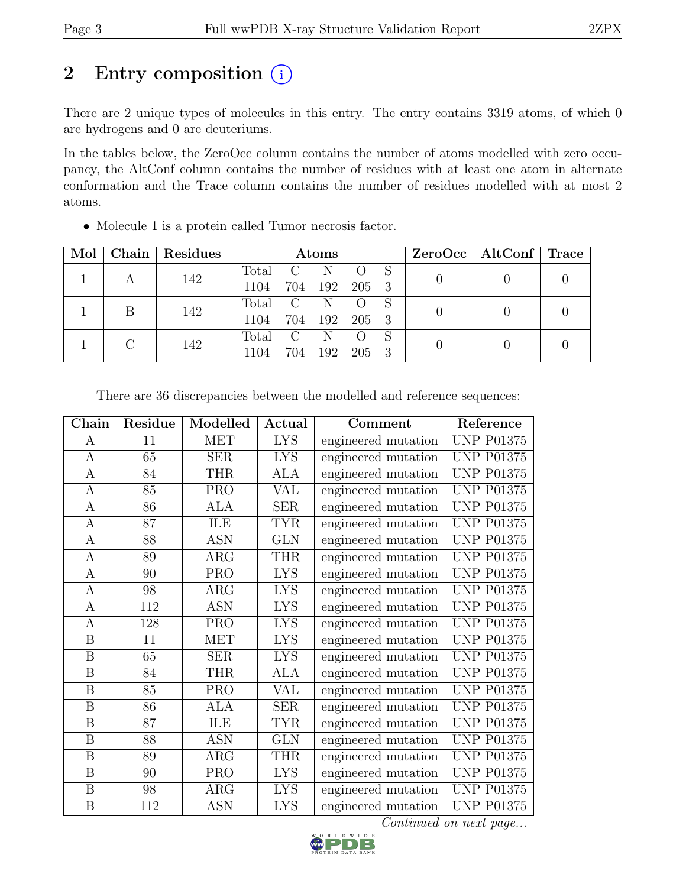# 2 Entry composition  $(i)$

There are 2 unique types of molecules in this entry. The entry contains 3319 atoms, of which 0 are hydrogens and 0 are deuteriums.

In the tables below, the ZeroOcc column contains the number of atoms modelled with zero occupancy, the AltConf column contains the number of residues with at least one atom in alternate conformation and the Trace column contains the number of residues modelled with at most 2 atoms.

| Mol |   | Chain   Residues | Atoms   |     |     |                  |  | $ZeroOcc \mid AltConf \mid Trace$ |  |
|-----|---|------------------|---------|-----|-----|------------------|--|-----------------------------------|--|
|     |   | 142              | Total   | - C | -N  |                  |  |                                   |  |
|     |   |                  | 1104    | 704 |     | 192 205 3        |  |                                   |  |
|     | B | 142              | Total C |     | N   |                  |  |                                   |  |
|     |   |                  | 1104    | 704 |     | 192 205 3        |  |                                   |  |
|     |   | 142              | Total C |     | N   | $\left( \right)$ |  |                                   |  |
|     |   | 1104             | 704     | 192 | 205 |                  |  |                                   |  |

• Molecule 1 is a protein called Tumor necrosis factor.

| Chain                   | Residue         | Modelled                | Actual     | Comment             | Reference         |
|-------------------------|-----------------|-------------------------|------------|---------------------|-------------------|
| A                       | 11              | <b>MET</b>              | <b>LYS</b> | engineered mutation | <b>UNP P01375</b> |
| $\mathbf{A}$            | 65              | <b>SER</b>              | <b>LYS</b> | engineered mutation | <b>UNP P01375</b> |
| $\boldsymbol{A}$        | 84              | <b>THR</b>              | <b>ALA</b> | engineered mutation | <b>UNP P01375</b> |
| $\overline{A}$          | 85              | <b>PRO</b>              | VAL        | engineered mutation | <b>UNP P01375</b> |
| $\boldsymbol{A}$        | 86              | ALA                     | <b>SER</b> | engineered mutation | <b>UNP P01375</b> |
| $\overline{A}$          | $\overline{87}$ | ILE                     | <b>TYR</b> | engineered mutation | <b>UNP P01375</b> |
| A                       | 88              | <b>ASN</b>              | <b>GLN</b> | engineered mutation | <b>UNP P01375</b> |
| A                       | 89              | $AR\overline{G}$        | <b>THR</b> | engineered mutation | <b>UNP P01375</b> |
| $\boldsymbol{A}$        | 90              | <b>PRO</b>              | <b>LYS</b> | engineered mutation | <b>UNP P01375</b> |
| $\mathbf{A}$            | 98              | ARG                     | <b>LYS</b> | engineered mutation | <b>UNP P01375</b> |
| $\mathbf{A}$            | 112             | <b>ASN</b>              | <b>LYS</b> | engineered mutation | <b>UNP P01375</b> |
| $\boldsymbol{A}$        | 128             | <b>PRO</b>              | <b>LYS</b> | engineered mutation | <b>UNP P01375</b> |
| $\boldsymbol{B}$        | 11              | <b>MET</b>              | <b>LYS</b> | engineered mutation | <b>UNP P01375</b> |
| B                       | 65              | <b>SER</b>              | <b>LYS</b> | engineered mutation | <b>UNP P01375</b> |
| B                       | 84              | <b>THR</b>              | <b>ALA</b> | engineered mutation | <b>UNP P01375</b> |
| $\boldsymbol{B}$        | 85              | <b>PRO</b>              | VAL        | engineered mutation | <b>UNP P01375</b> |
| $\boldsymbol{B}$        | 86              | <b>ALA</b>              | <b>SER</b> | engineered mutation | <b>UNP P01375</b> |
| $\boldsymbol{B}$        | $\overline{87}$ | ILE                     | <b>TYR</b> | engineered mutation | <b>UNP P01375</b> |
| $\boldsymbol{B}$        | 88              | <b>ASN</b>              | <b>GLN</b> | engineered mutation | <b>UNP P01375</b> |
| $\overline{\mathbf{B}}$ | 89              | $\overline{\text{ARG}}$ | <b>THR</b> | engineered mutation | <b>UNP P01375</b> |
| B                       | 90              | <b>PRO</b>              | <b>LYS</b> | engineered mutation | <b>UNP P01375</b> |
| $\boldsymbol{B}$        | 98              | ARG                     | <b>LYS</b> | engineered mutation | <b>UNP P01375</b> |
| $\boldsymbol{B}$        | 112             | <b>ASN</b>              | <b>LYS</b> | engineered mutation | <b>UNP P01375</b> |

There are 36 discrepancies between the modelled and reference sequences:

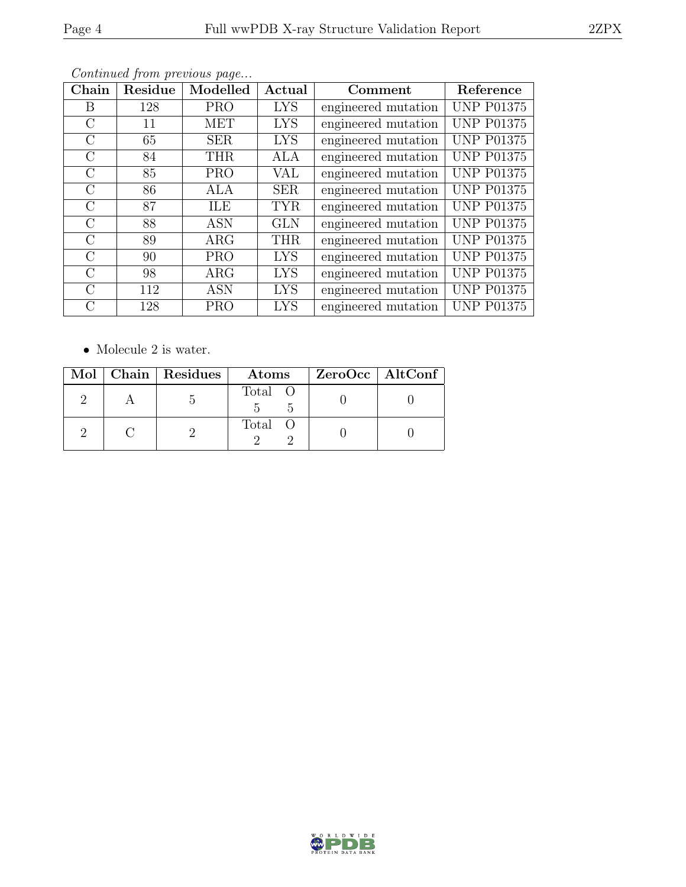| Chain         | Residue | Modelled   | Actual     | Comment             | Reference         |
|---------------|---------|------------|------------|---------------------|-------------------|
| В             | 128     | <b>PRO</b> | <b>LYS</b> | engineered mutation | <b>UNP P01375</b> |
| $\mathcal{C}$ | 11      | MET        | <b>LYS</b> | engineered mutation | <b>UNP P01375</b> |
| $\rm C$       | 65      | <b>SER</b> | <b>LYS</b> | engineered mutation | <b>UNP P01375</b> |
| $\rm C$       | 84      | <b>THR</b> | <b>ALA</b> | engineered mutation | <b>UNP P01375</b> |
| $\mathcal{C}$ | 85      | <b>PRO</b> | VAL        | engineered mutation | <b>UNP P01375</b> |
| $\rm C$       | 86      | ALA        | <b>SER</b> | engineered mutation | <b>UNP P01375</b> |
| $\mathcal{C}$ | 87      | <b>ILE</b> | <b>TYR</b> | engineered mutation | <b>UNP P01375</b> |
| $\mathcal{C}$ | 88      | <b>ASN</b> | <b>GLN</b> | engineered mutation | <b>UNP P01375</b> |
| $\rm C$       | 89      | $\rm{ARG}$ | <b>THR</b> | engineered mutation | <b>UNP P01375</b> |
| $\rm C$       | 90      | <b>PRO</b> | <b>LYS</b> | engineered mutation | <b>UNP P01375</b> |
| $\mathcal{C}$ | 98      | $\rm{ARG}$ | <b>LYS</b> | engineered mutation | <b>UNP P01375</b> |
| $\rm C$       | 112     | <b>ASN</b> | <b>LYS</b> | engineered mutation | <b>UNP P01375</b> |
| С             | 128     | <b>PRO</b> | <b>LYS</b> | engineered mutation | <b>UNP P01375</b> |

 $\bullet\,$  Molecule 2 is water.

|  | Mol   Chain   Residues | Atoms   | ZeroOcc   AltConf |
|--|------------------------|---------|-------------------|
|  |                        | Total O |                   |
|  |                        | Total O |                   |

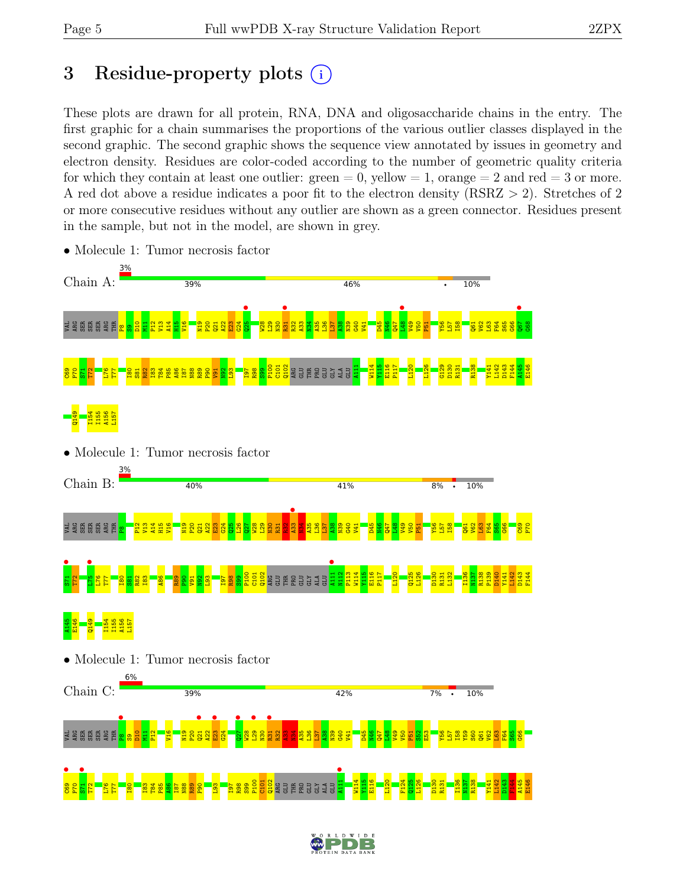# 3 Residue-property plots  $(i)$

These plots are drawn for all protein, RNA, DNA and oligosaccharide chains in the entry. The first graphic for a chain summarises the proportions of the various outlier classes displayed in the second graphic. The second graphic shows the sequence view annotated by issues in geometry and electron density. Residues are color-coded according to the number of geometric quality criteria for which they contain at least one outlier:  $green = 0$ , yellow  $= 1$ , orange  $= 2$  and red  $= 3$  or more. A red dot above a residue indicates a poor fit to the electron density (RSRZ > 2). Stretches of 2 or more consecutive residues without any outlier are shown as a green connector. Residues present in the sample, but not in the model, are shown in grey.



• Molecule 1: Tumor necrosis factor

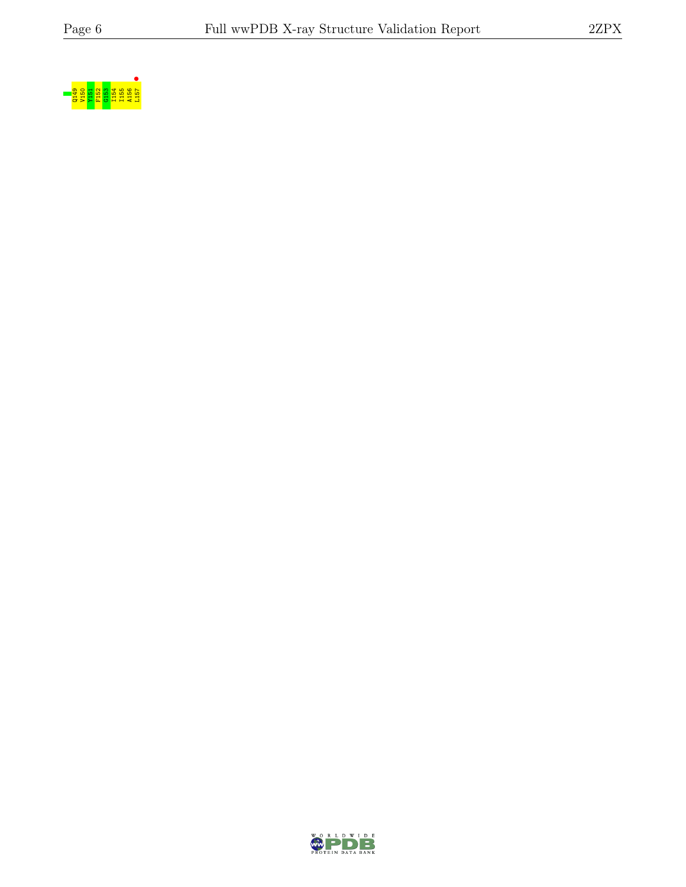

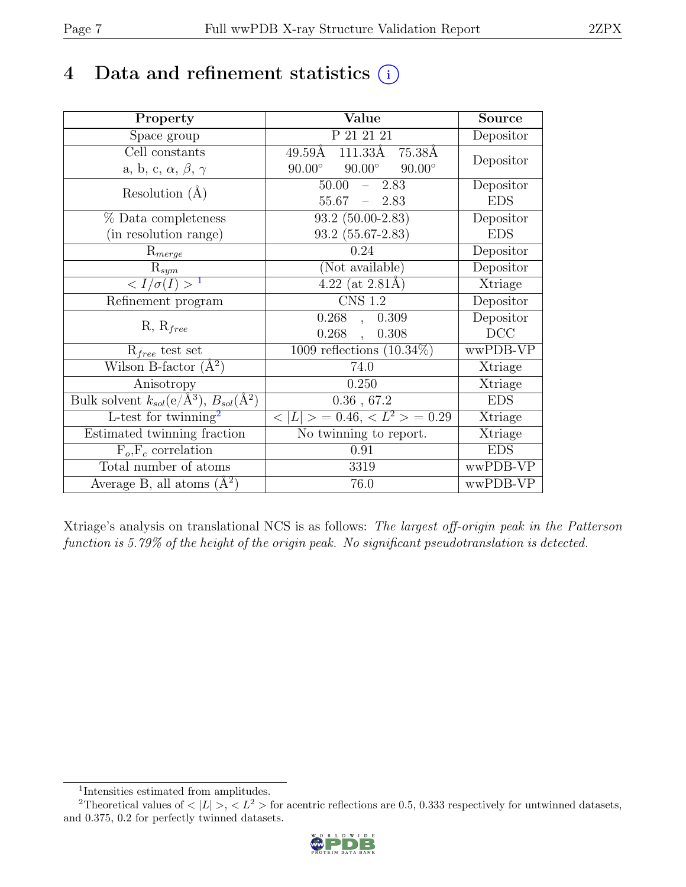# 4 Data and refinement statistics  $(i)$

| Property                                                             | Value                                           | <b>Source</b>  |
|----------------------------------------------------------------------|-------------------------------------------------|----------------|
| Space group                                                          | P 21 21 21                                      | Depositor      |
| Cell constants                                                       | $49.59\text{\AA}$ $111.33\text{\AA}$<br>75.38Å  | Depositor      |
| a, b, c, $\alpha$ , $\beta$ , $\gamma$                               | $90.00^\circ$<br>$90.00^\circ$<br>$90.00^\circ$ |                |
| Resolution $(A)$                                                     | 50.00<br>2.83                                   | Depositor      |
|                                                                      | 55.67<br>$-2.83$                                | <b>EDS</b>     |
| % Data completeness                                                  | $93.2$ $(50.00-2.83)$                           | Depositor      |
| (in resolution range)                                                | $93.2(55.67-2.83)$                              | <b>EDS</b>     |
| $R_{merge}$                                                          | 0.24                                            | Depositor      |
| $\mathrm{R}_{sym}$                                                   | (Not available)                                 | Depositor      |
| $\langle I/\sigma(I) \rangle^{-1}$                                   | $4.22$ (at 2.81Å)                               | Xtriage        |
| Refinement program                                                   | <b>CNS 1.2</b>                                  | Depositor      |
|                                                                      | $0.268$ ,<br>0.309                              | Depositor      |
| $R, R_{free}$                                                        | $0.268$ ,<br>0.308                              | DCC            |
| $R_{free}$ test set                                                  | 1009 reflections $(10.34\%)$                    | wwPDB-VP       |
| Wilson B-factor $(A^2)$                                              | 74.0                                            | Xtriage        |
| Anisotropy                                                           | 0.250                                           | Xtriage        |
| Bulk solvent $k_{sol}(e/\mathring{A}^3)$ , $B_{sol}(\mathring{A}^2)$ | $0.36$ , $67.2$                                 | <b>EDS</b>     |
| L-test for twinning <sup>2</sup>                                     | $< L >$ = 0.46, $< L^2 >$ = 0.29                | <b>Xtriage</b> |
| Estimated twinning fraction                                          | No twinning to report.                          | Xtriage        |
| $F_o, F_c$ correlation                                               | 0.91                                            | <b>EDS</b>     |
| Total number of atoms                                                | 3319                                            | wwPDB-VP       |
| Average B, all atoms $(A^2)$                                         | 76.0                                            | wwPDB-VP       |

Xtriage's analysis on translational NCS is as follows: The largest off-origin peak in the Patterson function is 5.79% of the height of the origin peak. No significant pseudotranslation is detected.

<sup>&</sup>lt;sup>2</sup>Theoretical values of  $\langle |L| \rangle$ ,  $\langle L^2 \rangle$  for acentric reflections are 0.5, 0.333 respectively for untwinned datasets, and 0.375, 0.2 for perfectly twinned datasets.



<span id="page-6-1"></span><span id="page-6-0"></span><sup>1</sup> Intensities estimated from amplitudes.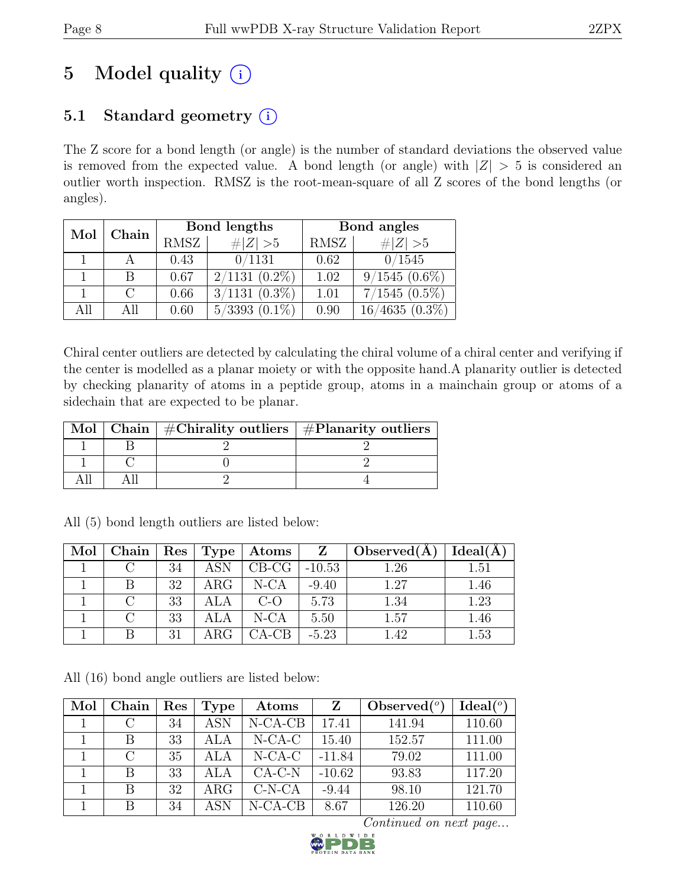# 5 Model quality  $(i)$

# 5.1 Standard geometry  $(i)$

The Z score for a bond length (or angle) is the number of standard deviations the observed value is removed from the expected value. A bond length (or angle) with  $|Z| > 5$  is considered an outlier worth inspection. RMSZ is the root-mean-square of all Z scores of the bond lengths (or angles).

| Mol | Chain |             | Bond lengths        | Bond angles |                   |  |
|-----|-------|-------------|---------------------|-------------|-------------------|--|
|     |       | <b>RMSZ</b> | # $ Z >5$           | RMSZ        | # $ Z >5$         |  |
|     |       | 0.43        | 0/1131              | 0.62        | 0/1545            |  |
|     | B     | 0.67        | $2/1131(0.2\%)$     | 1.02        | $9/1545(0.6\%)$   |  |
|     |       | 0.66        | $3/1131$ $(0.3\%)$  | 1.01        | $7/1545(0.5\%)$   |  |
| All |       | 0.60        | 5/3393<br>$(0.1\%)$ | 0.90        | 4635<br>$(0.3\%)$ |  |

Chiral center outliers are detected by calculating the chiral volume of a chiral center and verifying if the center is modelled as a planar moiety or with the opposite hand.A planarity outlier is detected by checking planarity of atoms in a peptide group, atoms in a mainchain group or atoms of a sidechain that are expected to be planar.

|  | Mol   Chain   $\#\text{Chirality outliers}$   $\#\text{Planarity outliers}$ |
|--|-----------------------------------------------------------------------------|
|  |                                                                             |
|  |                                                                             |
|  |                                                                             |

| Mol | Chain <sup>1</sup> | $\vert$ Res | $\top$ Type $\top$ | Atoms   |          | Observed $(\AA)$ | Ideal(A) |
|-----|--------------------|-------------|--------------------|---------|----------|------------------|----------|
|     |                    | 34          | <b>ASN</b>         | $CB-CG$ | $-10.53$ | 1.26             | 1.51     |
|     |                    | 32          | $\rm{ARG}$         | $N-CA$  | $-9.40$  | 1.27             | 1.46     |
|     |                    | 33          |                    | $C$ -O  | 5.73     | 1.34             | 1.23     |
|     |                    | 33          |                    | $N-CA$  | 5.50     | 1.57             | 1.46     |
|     |                    | 31          | ARG <sub>c</sub>   | $CA-CB$ | $-5.23$  | 1.42             | 1.53     |

All (5) bond length outliers are listed below:

All (16) bond angle outliers are listed below:

| Mol | Chain     | Res | Type       | Atoms      |          | Observed $(°)$ | Ideal(°) |
|-----|-----------|-----|------------|------------|----------|----------------|----------|
|     | C         | 34  | <b>ASN</b> | $N$ -CA-CB | 17.41    | 141.94         | 110.60   |
|     | В         | 33  | ALA        | $N-CA-C$   | 15.40    | 152.57         | 111.00   |
|     | $\bigcap$ | 35  | ALA        | $N-CA-C$   | $-11.84$ | 79.02          | 111.00   |
|     | B         | 33  |            | $CA-C-N$   | $-10.62$ | 93.83          | 117.20   |
|     |           | 32  | $\rm{ARG}$ | $C-N-CA$   | $-9.44$  | 98.10          | 121.70   |
|     | B         | 34  | ASN        | $N-CA-CB$  | 8.67     | 126.20         | 110.60   |

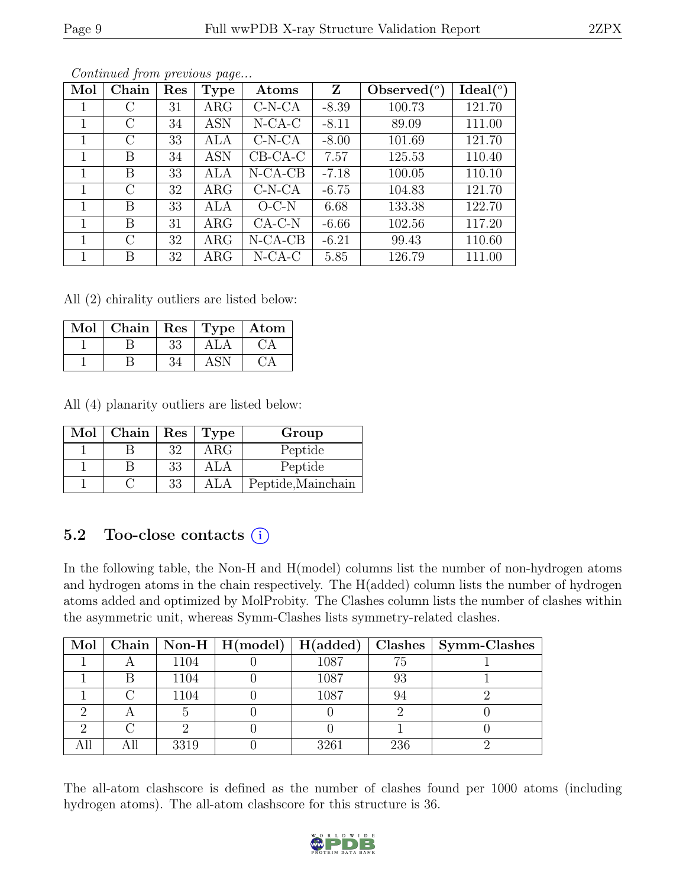| Mol | Chain         | Res | Type       | Atoms     | Z       | Observed $(°)$ | Ideal $(°)$ |
|-----|---------------|-----|------------|-----------|---------|----------------|-------------|
|     | С             | 31  | $\rm{ARG}$ | $C-N-CA$  | $-8.39$ | 100.73         | 121.70      |
| 1   | $\rm C$       | 34  | <b>ASN</b> | $N$ -CA-C | $-8.11$ | 89.09          | 111.00      |
| 1   | C             | 33  | ALA        | $C-N-CA$  | $-8.00$ | 101.69         | 121.70      |
|     | Β             | 34  | <b>ASN</b> | $CB-CA-C$ | 7.57    | 125.53         | 110.40      |
| 1   | B             | 33  | ALA        | $N-CA-CB$ | $-7.18$ | 100.05         | 110.10      |
| 1   | $\rm C$       | 32  | $\rm{ARG}$ | $C-N-CA$  | $-6.75$ | 104.83         | 121.70      |
|     | B             | 33  | ALA        | $O-C-N$   | 6.68    | 133.38         | 122.70      |
| 1   | B             | 31  | $\rm{ARG}$ | $CA-C-N$  | $-6.66$ | 102.56         | 117.20      |
|     | $\mathcal{C}$ | 32  | $\rm{ARG}$ | $N-CA-CB$ | $-6.21$ | 99.43          | 110.60      |
|     | B             | 32  | $\rm{ARG}$ | $N$ -CA-C | 5.85    | 126.79         | 111.00      |

All (2) chirality outliers are listed below:

| Mol | $\boxed{\text{Chain}}$   Res   Type   Atom |    |     |  |
|-----|--------------------------------------------|----|-----|--|
|     |                                            | 33 | ALA |  |
|     |                                            |    |     |  |

All (4) planarity outliers are listed below:

| Mol | Chain |    | Res   Type | Group              |
|-----|-------|----|------------|--------------------|
|     |       | 32 | $\rm{ARG}$ | Peptide            |
|     |       | 33 | ALA        | Peptide            |
|     |       | 33 | ALA        | Peptide, Mainchain |

### 5.2 Too-close contacts  $(i)$

In the following table, the Non-H and H(model) columns list the number of non-hydrogen atoms and hydrogen atoms in the chain respectively. The H(added) column lists the number of hydrogen atoms added and optimized by MolProbity. The Clashes column lists the number of clashes within the asymmetric unit, whereas Symm-Clashes lists symmetry-related clashes.

|  |      |      |     | Mol   Chain   Non-H   H(model)   H(added)   Clashes   Symm-Clashes |
|--|------|------|-----|--------------------------------------------------------------------|
|  | 1104 | 1087 | 75  |                                                                    |
|  | 1104 | 1087 | 93  |                                                                    |
|  | 1104 | 1087 | 94  |                                                                    |
|  |      |      |     |                                                                    |
|  |      |      |     |                                                                    |
|  | 3319 | 3261 | 236 |                                                                    |

The all-atom clashscore is defined as the number of clashes found per 1000 atoms (including hydrogen atoms). The all-atom clashscore for this structure is 36.

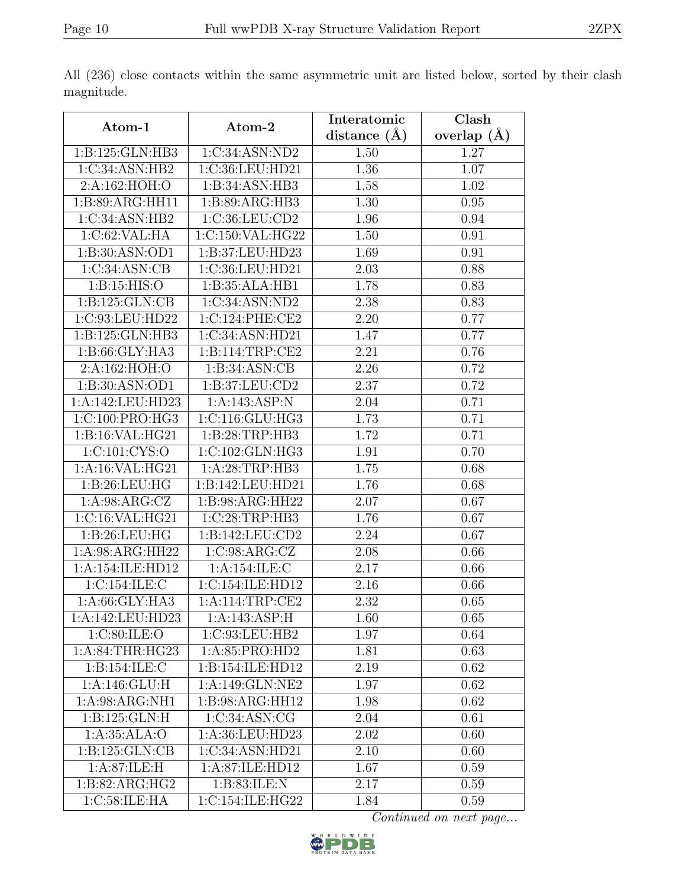|                                     |                                      | Interatomic    | Clash             |
|-------------------------------------|--------------------------------------|----------------|-------------------|
| Atom-1                              | Atom-2                               | distance $(A)$ | overlap $(A)$     |
| 1:B:125:GLN:HB3                     | 1:C:34:ASN:ND2                       | 1.50           | 1.27              |
| 1:C:34:ASN:HB2                      | 1:C:36:LEU:HD21                      | 1.36           | $\overline{1.07}$ |
| 2: A:162: HOH:O                     | 1:B:34:ASN:HB3                       | 1.58           | 1.02              |
| $1:B:89:\overline{\text{ARG:HH11}}$ | 1:B:89:ARG:HB3                       | 1.30           | 0.95              |
| 1:C:34:ASN:HB2                      | 1:C:36:LEU:CD2                       | 1.96           | 0.94              |
| 1:C:62:VAL:HA                       | 1:C:150:VAL:HG22                     | 1.50           | 0.91              |
| 1: B:30: ASN:OD1                    | 1:B:37:LEU:HD23                      | 1.69           | 0.91              |
| 1:C:34:ASN:CB                       | 1:C:36:LEU:HD21                      | 2.03           | 0.88              |
| 1: B: 15: HIS: O                    | 1:B:35:ALA:HB1                       | 1.78           | 0.83              |
| 1: B: 125: GLN: CB                  | 1:C:34:ASN:ND2                       | 2.38           | 0.83              |
| 1:C:93:LEU:HD22                     | 1:C:124:PHE:CE2                      | 2.20           | 0.77              |
| 1:B:125:GLN:HB3                     | 1:C:34:ASN:HD21                      | 1.47           | 0.77              |
| 1: B:66: GLY:HA3                    | 1: B: 114: TRP: CE2                  | 2.21           | 0.76              |
| 2:A:162:HOH:O                       | 1: B:34: ASN: CB                     | 2.26           | 0.72              |
| 1:B:30:ASN:OD1                      | 1:B:37:LEU:CD2                       | 2.37           | 0.72              |
| 1:A:142:LEU:HD23                    | 1:A:143:ASP:N                        | 2.04           | 0.71              |
| 1:C:100:PRO:HG3                     | 1:C:116:GLU:HG3                      | 1.73           | 0.71              |
| 1: B:16: VAL: HG21                  | 1: B:28:TRP:HB3                      | 1.72           | 0.71              |
| 1:C:101:CYS:O                       | 1:C:102:GLN:HG3                      | 1.91           | 0.70              |
| 1: A:16: VAL: HG21                  | 1: A:28:TRP:HB3                      | 1.75           | 0.68              |
| 1:B:26:LEU:HG                       | 1:B:142:LEU:HD21                     | 1.76           | 0.68              |
| 1: A:98: ARG: CZ                    | 1:B:98:ARG:HH22                      | 2.07           | 0.67              |
| 1:C:16:VAL:HG21                     | 1:C:28:TRP:HB3                       | 1.76           | 0.67              |
| 1: B:26: LEU: HG                    | 1: B: 142: LEU: CD2                  | 2.24           | 0.67              |
| 1:A:98:ARG:HH22                     | 1:C:98:ARG:CZ                        | 2.08           | 0.66              |
| 1:A:154:ILE:HD12                    | 1:A:154:ILE:C                        | 2.17           | 0.66              |
| 1:C:154:ILE:C                       | $1:C:154:I\overline{\text{LE:HD12}}$ | 2.16           | 0.66              |
| 1:A:66:GLY:HA3                      | 1: A:114:TRP:CE2                     | 2.32           | 0.65              |
| 1:A:142:LEU:HD23                    | 1:A:143:ASP:H                        | 1.60           | 0.65              |
| 1:C:80:ILE:O                        | 1:C:93:LEU:HB2                       | 1.97           | 0.64              |
| 1: A:84:THR:HG23                    | 1:A:85:PRO:HD2                       | 1.81           | 0.63              |
| 1:B:154:ILE:C                       | 1:B:154:ILE:HD12                     | 2.19           | 0.62              |
| 1:A:146:GLU:H                       | 1:A:149:GLN:NE2                      | 1.97           | 0.62              |
| 1:A:98:ARG:NH1                      | 1:B:98:ARG:HH12                      | 1.98           | 0.62              |
| 1: B: 125: GLN: H                   | 1:C:34:ASN:CG                        | 2.04           | 0.61              |
| 1: A:35: ALA:O                      | 1:A:36:LEU:HD23                      | 2.02           | 0.60              |
| 1:B:125:GLN:CB                      | 1:C:34:ASN:HD21                      | 2.10           | 0.60              |
| 1: A:87: ILE:H                      | 1:A:87:ILE:HD12                      | 1.67           | 0.59              |
| 1:B:82:ARG:HG2                      | 1: B:83: ILE:N                       | 2.17           | 0.59              |
| 1:C:58:ILE:HA                       | 1:C:154:ILE:HG22                     | 1.84           | 0.59              |

All (236) close contacts within the same asymmetric unit are listed below, sorted by their clash magnitude.

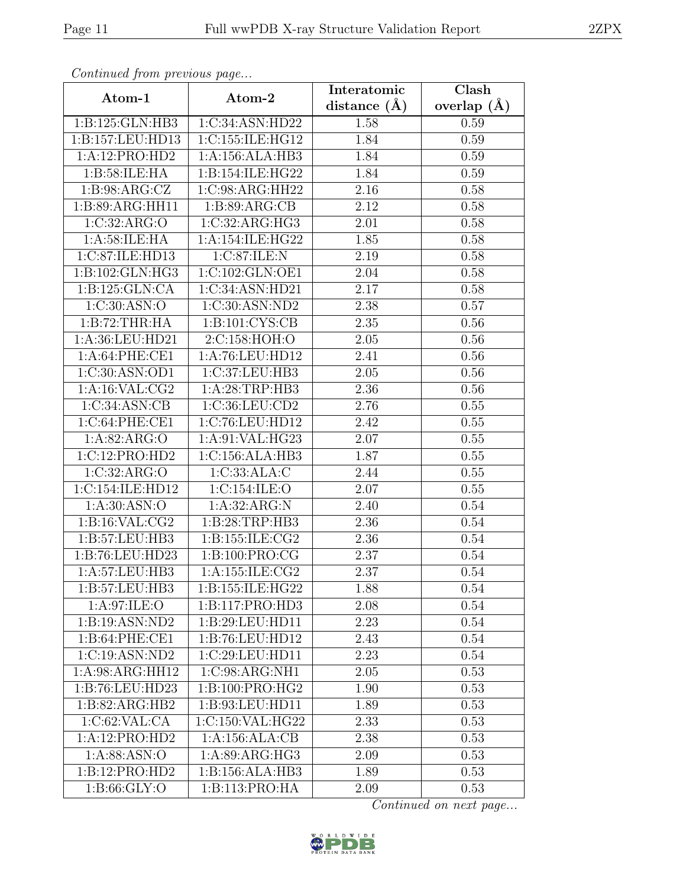| Continuati jibin protibus puga |                                     | Interatomic      | $\overline{\text{Clash}}$ |
|--------------------------------|-------------------------------------|------------------|---------------------------|
| Atom-1                         | Atom-2                              | distance $(\AA)$ | overlap $(\AA)$           |
| 1:B:125:GLN:HB3                | 1:C:34:ASN:HD22                     | 1.58             | 0.59                      |
| 1:B:157:LEU:HD13               | 1:C:155:ILE:HG12                    | 1.84             | 0.59                      |
| 1:A:12:PRO:HD2                 | 1:A:156:ALA:HB3                     | 1.84             | 0.59                      |
| 1:B:58:ILE:HA                  | 1:B:154:ILE:HG22                    | 1.84             | 0.59                      |
| 1: B:98: ARG: CZ               | 1:C:98:ARG:HH22                     | 2.16             | 0.58                      |
| 1:B:89:ARG:HH11                | 1: B:89: ARG:CB                     | 2.12             | 0.58                      |
| 1:C:32:ARG:O                   | $1:C:32: \overline{\text{ARG:HG3}}$ | 2.01             | 0.58                      |
| 1: A:58: ILE: HA               | 1:A:154:ILE:HG22                    | 1.85             | 0.58                      |
| 1:C:87:ILE:HD13                | 1:C:87:ILE:N                        | 2.19             | 0.58                      |
| 1:B:102:GLN:HG3                | 1:C:102:GLN:OE1                     | 2.04             | 0.58                      |
| 1:B:125:GLN:CA                 | 1:C:34:ASN:HD21                     | 2.17             | 0.58                      |
| 1:C:30:ASN:O                   | 1:C:30:ASN:ND2                      | 2.38             | 0.57                      |
| 1:B:72:THR:HA                  | 1:B:101:CYS:CB                      | 2.35             | 0.56                      |
| 1:A:36:LEU:HD21                | 2:C:158:HOH:O                       | $2.05\,$         | $0.56\,$                  |
| 1: A:64:PHE:CE1                | 1:A:76:LEU:HD12                     | 2.41             | 0.56                      |
| 1:C:30:ASN:OD1                 | 1:C:37:LEU:HB3                      | 2.05             | 0.56                      |
| 1:A:16:VAL:CG2                 | 1:A:28:TRP:HB3                      | 2.36             | 0.56                      |
| 1:C:34:ASN:CB                  | 1:C:36:LEU:CD2                      | 2.76             | 0.55                      |
| 1:C:64:PHE:CE1                 | 1:C:76:LEU:HD12                     | 2.42             | 0.55                      |
| 1: A:82: ARG:O                 | 1:A:91:VAL:HG23                     | 2.07             | 0.55                      |
| 1:C:12:PRO:HD2                 | 1:C:156:ALA:HB3                     | 1.87             | 0.55                      |
| 1:C:32:ARG:O                   | 1:C:33:ALA:C                        | 2.44             | 0.55                      |
| 1:C:154:ILE:HD12               | 1:C:154:ILE:O                       | 2.07             | 0.55                      |
| 1: A:30: ASN:O                 | 1:A:32:ARG:N                        | 2.40             | 0.54                      |
| 1: B:16: VAL: CG2              | 1: B:28:TRP:HB3                     | 2.36             | 0.54                      |
| 1: B:57: LEU:HB3               | 1:B:155:ILE:CG2                     | 2.36             | 0.54                      |
| 1:B:76:LEU:HD23                | 1: B: 100: PRO: CG                  | 2.37             | 0.54                      |
| 1: A:57:LEU:HB3                | 1: A: 155: ILE: CG2                 | 2.37             | 0.54                      |
| 1:B:57:LEU:HB3                 | 1:B:155:ILE:HG22                    | 1.88             | 0.54                      |
| 1: A:97: ILE: O                | 1:B:117:PRO:H <sub>D3</sub>         | 2.08             | 0.54                      |
| 1:B:19:ASN:ND2                 | 1:B:29:LEU:HD11                     | 2.23             | 0.54                      |
| 1:B:64:PHE:CE1                 | 1:B:76:LEU:HD12                     | 2.43             | 0.54                      |
| 1:C:19:ASN:ND2                 | 1:C:29:LEU:HD11                     | 2.23             | 0.54                      |
| 1:A:98:ARG:HH12                | 1:C:98:ARG:NH1                      | 2.05             | 0.53                      |
| 1:B:76:LEU:HD23                | 1:B:100:PRO:HG2                     | 1.90             | 0.53                      |
| 1:B:82:ARG:HB2                 | 1:B:93:LEU:HD11                     | 1.89             | 0.53                      |
| 1:C:62:VAL:CA                  | 1:C:150:VAL:HG22                    | 2.33             | 0.53                      |
| 1:A:12:PRO:HD2                 | 1:A:156:ALA:CB                      | 2.38             | 0.53                      |
| 1: A:88: ASN:O                 | 1: A:89: ARG: HG3                   | 2.09             | 0.53                      |
| 1:B:12:PRO:HD2                 | 1:B:156:ALA:HB3                     | 1.89             | 0.53                      |
| 1: B:66: GLY:O                 | 1:B:113:PRO:HA                      | 2.09             | 0.53                      |

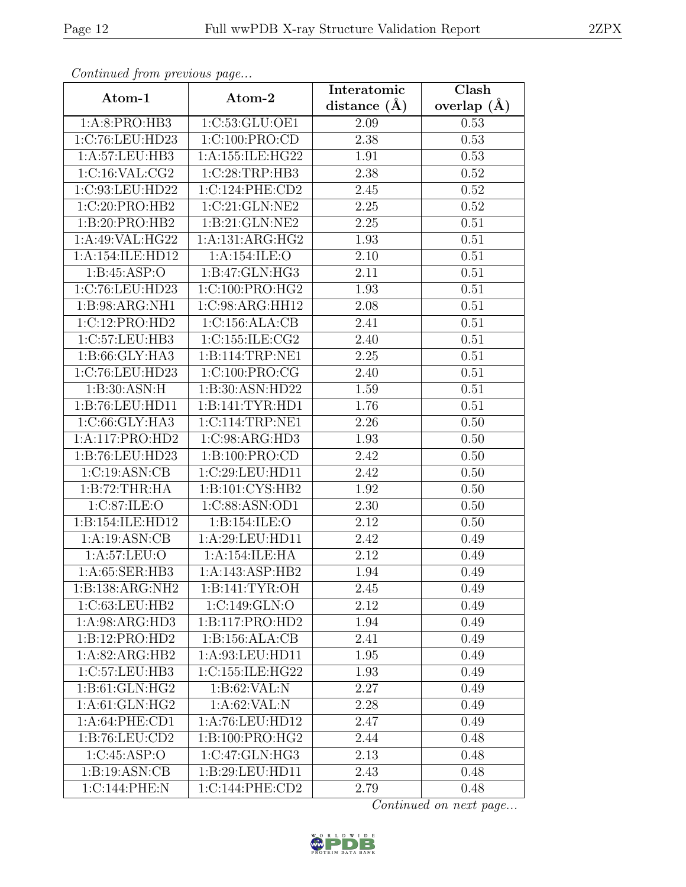| Continued from previous page        |                    | Interatomic      | $\overline{\text{Clash}}$ |
|-------------------------------------|--------------------|------------------|---------------------------|
| Atom-1                              | Atom-2             | distance $(\AA)$ | overlap $(A)$             |
| 1:A:8:PRO:HB3                       | 1:C:53:GLU:OE1     | 2.09             | 0.53                      |
| 1:C:76:LEU:HD23                     | 1:C:100:PRO:CD     | 2.38             | 0.53                      |
| 1: A: 57: LEU: HB3                  | 1:A:155:ILE:HG22   | 1.91             | 0.53                      |
| 1:C:16:VAL:CG2                      | 1:C:28:TRP:HB3     | 2.38             | 0.52                      |
| 1:C:93:LEU:HD22                     | 1:C:124:PHE:CD2    | 2.45             | 0.52                      |
| 1:C:20:PRO:HB2                      | 1:C:21:GLN:NE2     | 2.25             | 0.52                      |
| 1:B:20:PRO:HB2                      | 1:B:21:GLN:NE2     | 2.25             | 0.51                      |
| 1:A:49:VAL:HG22                     | 1:A:131:ARG:HG2    | 1.93             | 0.51                      |
| 1:A:154:ILE:HD12                    | 1:A:154:ILE:O      | 2.10             | 0.51                      |
| 1: B: 45: ASP:O                     | 1:B:47:GLN:HG3     | 2.11             | 0.51                      |
| 1:C:76:LEU:HD23                     | 1:C:100:PRO:HG2    | 1.93             | 0.51                      |
| 1:B:98:ARG:NH1                      | 1:C:98:ARG:HH12    | 2.08             | 0.51                      |
| 1:C:12:PRO:HD2                      | 1:C:156:ALA:CB     | 2.41             | 0.51                      |
| 1:C:57:LEU:HB3                      | 1:C:155:ILE:CG2    | 2.40             | 0.51                      |
| 1:B:66:GLY:HA3                      | 1:B:114:TRP:NE1    | 2.25             | 0.51                      |
| 1:C:76:LEU:HD23                     | 1:C:100:PRO:CG     | 2.40             | 0.51                      |
| 1:B:30:ASN:H                        | 1:B:30:ASN:HD22    | 1.59             | 0.51                      |
| 1:B:76:LEU:HD11                     | 1:B:141:TYR:HD1    | 1.76             | 0.51                      |
| 1:C:66:GLY:HA3                      | 1:C:114:TRP:NE1    | 2.26             | 0.50                      |
| 1:A:117:PRO:HD2                     | 1:C:98:ARG:HD3     | 1.93             | 0.50                      |
| 1:B:76:LEU:HD23                     | 1:B:100:PRO:CD     | 2.42             | 0.50                      |
| 1:C:19:ASN:CB                       | 1:C:29:LEU:HD11    | 2.42             | 0.50                      |
| 1:B:72:THR:HA                       | 1:B:101:CYS:HB2    | 1.92             | 0.50                      |
| 1:C:87:ILE:O                        | 1:C:88:ASN:OD1     | 2.30             | 0.50                      |
| 1:B:154:ILE:HD12                    | 1:B:154:ILE:O      | 2.12             | 0.50                      |
| 1:A:19:ASN:CB                       | 1: A:29: LEU: HD11 | 2.42             | 0.49                      |
| 1:A:57:LEU:O                        | 1:A:154:ILE:HA     | 2.12             | 0.49                      |
| 1: A:65: SER:HB3                    | 1:A:143:ASP:HB2    | 1.94             | 0.49                      |
| $1:B:138:ARG:\overline{\text{NH2}}$ | 1: B: 141: TYR: OH | 2.45             | 0.49                      |
| 1:C:63:LEU:HB2                      | 1:C:149:GLN:O      | 2.12             | 0.49                      |
| 1: A:98: ARG:HD3                    | 1:B:117:PRO:HD2    | 1.94             | 0.49                      |
| 1:B:12:PRO:HD2                      | 1:B:156:ALA:CB     | 2.41             | 0.49                      |
| 1:A:82:ARG:HB2                      | 1:A:93:LEU:HD11    | 1.95             | 0.49                      |
| 1:C:57:LEU:HB3                      | 1:C:155:ILE:HG22   | 1.93             | 0.49                      |
| 1:B:61:GLN:HG2                      | 1:B:62:VAL:N       | 2.27             | 0.49                      |
| 1:A:61:GLN:HG2                      | 1:A:62:VAL:N       | 2.28             | 0.49                      |
| 1: A:64:PHE:CD1                     | 1:A:76:LEU:HD12    | 2.47             | 0.49                      |
| 1:B:76:LEU:CD2                      | 1:B:100:PRO:HG2    | 2.44             | 0.48                      |
| 1:C:45:ASP:O                        | 1:C:47:GLN:HG3     | 2.13             | 0.48                      |
| 1: B: 19: ASN: CB                   | 1:B:29:LEU:HD11    | 2.43             | 0.48                      |
| 1:C:144:PHE:N                       | 1:C:144:PHE:CD2    | 2.79             | 0.48                      |

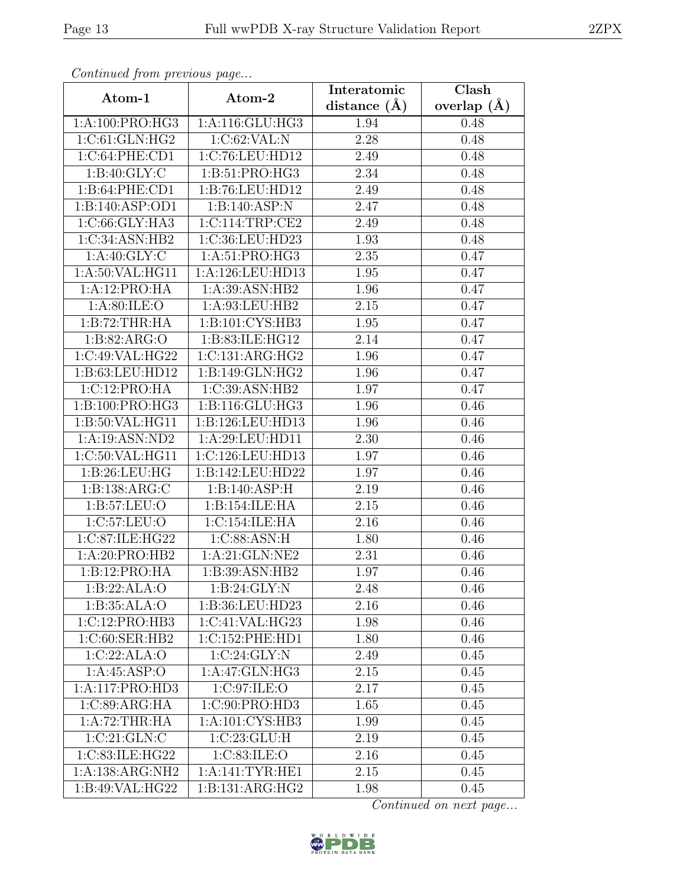| Continued from previous page |                                    | Interatomic    | Clash         |
|------------------------------|------------------------------------|----------------|---------------|
| Atom-1                       | Atom-2                             | distance $(A)$ | overlap $(A)$ |
| 1:A:100:PRO:HG3              | $1:$ A:116: $GLU$ :HG3             | 1.94           | 0.48          |
| 1:C:61:GLN:HG2               | 1:C:62:VAL:N                       | 2.28           | 0.48          |
| 1:C:64:PHE:CD1               | 1:C:76:LEU:HD12                    | 2.49           | 0.48          |
| 1: B:40: GLY: C              | 1:B:51:PRO:HG3                     | 2.34           | 0.48          |
| 1:B:64:PHE:CD1               | 1:B:76:LEU:HD12                    | 2.49           | 0.48          |
| 1:B:140:ASP:OD1              | 1:B:140:ASP:N                      | 2.47           | 0.48          |
| 1:C:66:GLY:HA3               | 1:C:114:TRP:CE2                    | 2.49           | 0.48          |
| 1:C:34:ASN:HB2               | 1:C:36:LEU:HD23                    | 1.93           | 0.48          |
| 1: A:40: GLY: C              | 1:A:51:PRO:HG3                     | 2.35           | 0.47          |
| $1:$ A:50:VAL:HG11           | 1:A:126:LEU:HD13                   | 1.95           | 0.47          |
| 1:A:12:PRO:HA                | 1:A:39:ASN:HB2                     | 1.96           | 0.47          |
| 1: A:80: ILE:O               | 1:A:93:LEU:HB2                     | 2.15           | 0.47          |
| 1:B:72:THR:HA                | 1:B:101:CYS:HB3                    | 1.95           | 0.47          |
| 1:B:82:ARG:O                 | 1:B:83:ILE:HG12                    | 2.14           | 0.47          |
| 1:C:49:VAL:HG22              | 1:C:131:ARG:HG2                    | 1.96           | 0.47          |
| 1:B:63:LEU:HD12              | 1:B:149:GLN:HG2                    | 1.96           | 0.47          |
| 1:C:12:PRO:HA                | 1:C:39:ASN:HB2                     | 1.97           | 0.47          |
| 1:B:100:PRO:HG3              | 1:B:116:GLU:HG3                    | 1.96           | 0.46          |
| 1:B:50:VAL:HG11              | 1:B:126:LEU:HD13                   | 1.96           | 0.46          |
| 1:A:19:ASN:ND2               | 1:A:29:LEU:HD11                    | 2.30           | 0.46          |
| 1:C:50:VAL:HG11              | 1:C:126:LEU:HD13                   | 1.97           | 0.46          |
| 1: B:26:LEU:HG               | 1:B:142:LEU:HD22                   | 1.97           | 0.46          |
| 1:B:138:ARG:C                | 1:B:140:ASP:H                      | 2.19           | 0.46          |
| 1: B: 57: LEU: O             | 1:B:154:ILE:HA                     | 2.15           | 0.46          |
| 1:C:57:LEU:O                 | 1:C:154:ILE:HA                     | 2.16           | 0.46          |
| 1:C:87:ILE:HG22              | 1:C:88:ASN:H                       | 1.80           | 0.46          |
| 1:A:20:PRO:HB2               | 1:A:21:GLN:NE2                     | 2.31           | 0.46          |
| 1:B:12:PRO:HA                | 1:B:39:ASN:HB2                     | 1.97           | 0.46          |
| 1:B:22:ALA:O                 | 1:B:24:GLY:N                       | 2.48           | 0.46          |
| 1:B:35:ALA:O                 | 1:B:36:LEU:HD23                    | 2.16           | 0.46          |
| 1:C:12:PRO:HB3               | 1:C:41:VAL:HG23                    | 1.98           | 0.46          |
| 1:C:60:SER:HB2               | 1:C:152:PHE:HD1                    | 1.80           | 0.46          |
| 1:C:22:ALA:O                 | $1:C:24:\overline{GLY:N}$          | 2.49           | 0.45          |
| 1:A:45:ASP:O                 | 1:A:47:GLN:HG3                     | 2.15           | 0.45          |
| 1:A:117:PRO:HD3              | 1:C:97:ILE:O                       | 2.17           | 0.45          |
| $1:\overline{C:89:ARG:HA}$   | $1:C:90:\overline{\text{PRO:HD3}}$ | 1.65           | 0.45          |
| 1:A:72:THR:HA                | $1:A:101:CYS:H\overline{B3}$       | 1.99           | 0.45          |
| 1:C:21:GLN:C                 | 1:C:23:GLU:H                       | 2.19           | 0.45          |
| 1:C:83:ILE:HG22              | 1:C:83:ILE:O                       | 2.16           | 0.45          |
| 1:A:138:ARG:NH2              | 1: A:141:TYR:HE1                   | 2.15           | 0.45          |
| 1:B:49:VAL:HG22              | 1:B:131:ARG:HG2                    | 1.98           | 0.45          |

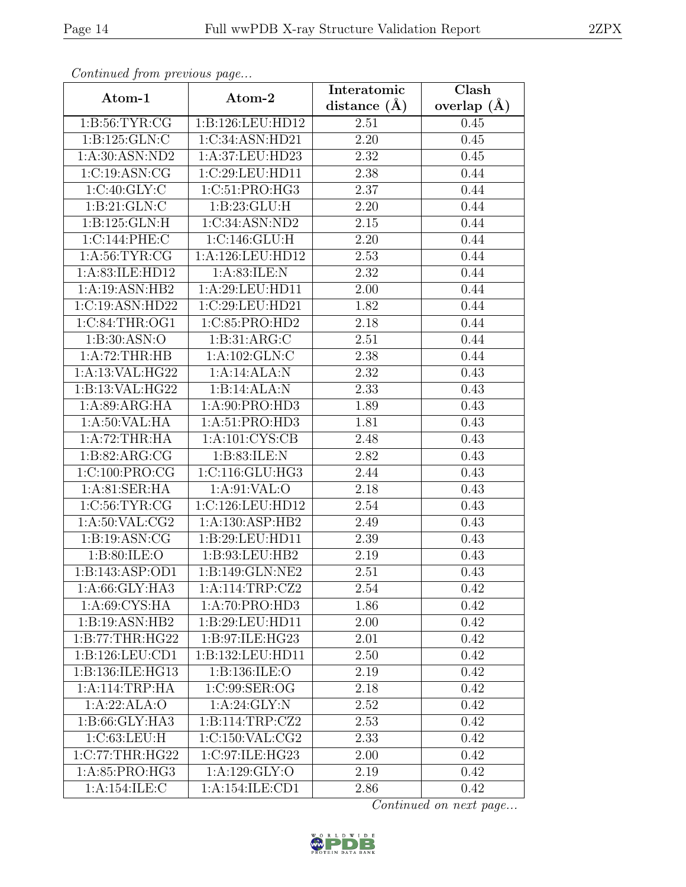| Continued from previous page |                            | Interatomic       | Clash         |
|------------------------------|----------------------------|-------------------|---------------|
| Atom-1                       | Atom-2                     | distance $(A)$    | overlap $(A)$ |
| 1: B:56: TYR: CG             | 1:B:126:LEU:HD12           | 2.51              | 0.45          |
| 1: B: 125: GLN: C            | 1:C:34:ASN:HD21            | 2.20              | 0.45          |
| 1:A:30:ASN:ND2               | 1:A:37:LEU:HD23            | 2.32              | 0.45          |
| 1:C:19:ASN:CG                | 1:C:29:LEU:HD11            | 2.38              | 0.44          |
| 1:C:40:GLY:C                 | 1:C:51:PRO:HG3             | 2.37              | 0.44          |
| 1: B:21: GLN: C              | 1: B: 23: GLU: H           | 2.20              | 0.44          |
| 1: B: 125: GLN: H            | 1:C:34:ASN:ND2             | 2.15              | 0.44          |
| 1:C:144:PHE:C                | 1:C:146:GLU:H              | 2.20              | 0.44          |
| 1: A:56: TYR: CG             | 1:A:126:LEU:HD12           | 2.53              | 0.44          |
| 1:A:83:ILE:HD12              | 1: A:83: ILE:N             | 2.32              | 0.44          |
| 1:A:19:ASN:HB2               | 1:A:29:LEU:HD11            | 2.00              | 0.44          |
| 1:C:19:ASN:HD22              | 1:C:29:LEU:HD21            | 1.82              | 0.44          |
| 1:C:84:THR:OG1               | 1:C:85:PRO:HD2             | 2.18              | 0.44          |
| 1:B:30:ASN:O                 | 1:B:31:ARG:C               | 2.51              | 0.44          |
| 1:A:72:THR:HB                | $1:A:102:GLN:\overline{C}$ | 2.38              | 0.44          |
| 1:A:13:VAL:HG22              | 1:A:14:ALA:N               | 2.32              | 0.43          |
| 1:B:13:VAL:HG22              | 1:B:14:ALA:N               | 2.33              | 0.43          |
| 1: A:89: ARG: HA             | 1:A:90:PRO:HD3             | 1.89              | 0.43          |
| 1: A:50: VAL: HA             | 1:A:51:PRO:HD3             | 1.81              | 0.43          |
| 1:A:72:THR:HA                | 1: A: 101: CYS: CB         | 2.48              | 0.43          |
| 1:B:82:ARG:CG                | 1:B:83:ILE:N               | 2.82              | 0.43          |
| 1:C:100:PRO:CG               | 1: C: 116: GLU: HG3        | 2.44              | 0.43          |
| 1:A:81:SER:HA                | 1:A:91:VAL:O               | 2.18              | 0.43          |
| 1:C:56:TYR:CG                | 1:C:126:LEU:HD12           | $\overline{2.54}$ | 0.43          |
| 1: A:50: VAL: CG2            | 1:A:130:ASP:HB2            | 2.49              | 0.43          |
| 1: B: 19: ASN: CG            | 1:B:29:LEU:HD11            | 2.39              | 0.43          |
| 1: B:80: ILE:O               | 1:B:93:LEU:HB2             | 2.19              | 0.43          |
| 1:B:143:ASP:OD1              | 1:B:149:GLN:NE2            | 2.51              | 0.43          |
| 1:A:66:GLY:HA3               | 1:A:114:TRP:CZ2            | 2.54              | 0.42          |
| 1: A:69: CYS: HA             | 1: A:70: PRO:HD3           | 1.86              | 0.42          |
| 1:B:19:ASN:HB2               | 1:B:29:LEU:HD11            | 2.00              | 0.42          |
| 1:B:77:THR:HG22              | 1:B:97:ILE:HG23            | 2.01              | 0.42          |
| 1: B: 126: LEU: CD1          | 1:B:132:LEU:HD11           | 2.50              | 0.42          |
| 1:B:136:ILE:HG13             | 1:B:136:ILE:O              | 2.19              | 0.42          |
| 1:A:114:TRP:HA               | 1:C:99:SER:OG              | 2.18              | 0.42          |
| 1:A:22:ALA:O                 | 1: A:24: GLY:N             | 2.52              | 0.42          |
| 1:B:66:GLY:HA3               | 1:B:114:TRP:CZ2            | 2.53              | 0.42          |
| 1:C:63:LEU:H                 | 1:C:150:VAL:CG2            | 2.33              | 0.42          |
| 1:C:77:THR:HG22              | 1:C:97:ILE:HG23            | 2.00              | 0.42          |
| 1:A:85:PRO:HG3               | 1:A:129:GLY:O              | 2.19              | 0.42          |
| 1:A:154:ILE:C                | 1:A:154:ILE:CD1            | 2.86              | 0.42          |

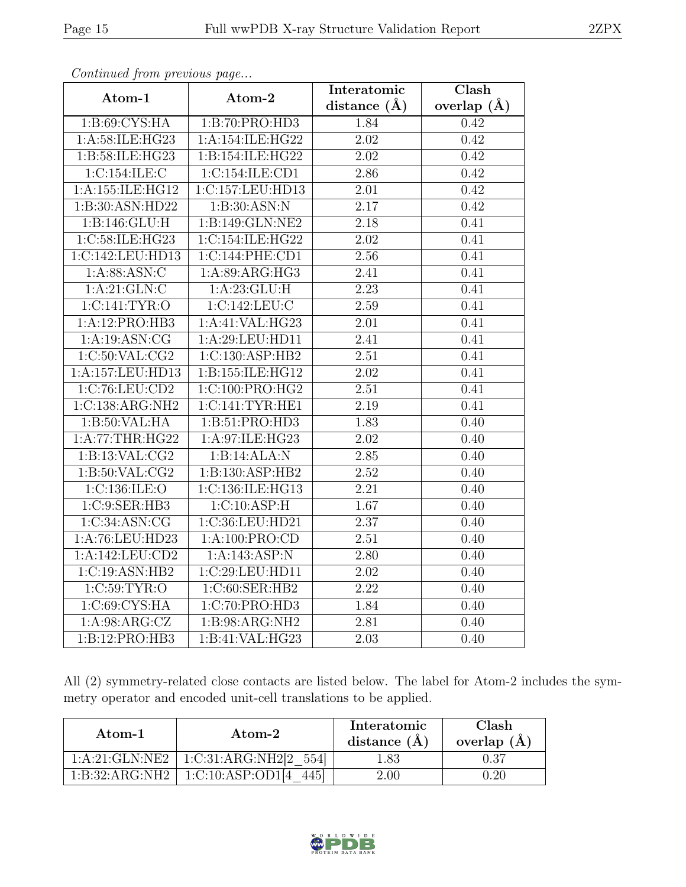|                   |                                             | Interatomic       | Clash           |
|-------------------|---------------------------------------------|-------------------|-----------------|
| Atom-1            | Atom-2                                      | distance $(\AA)$  | overlap $(\AA)$ |
| 1: B:69: CYS: HA  | 1:B:70:PRO:HD3                              | 1.84              | 0.42            |
| 1:A:58:ILE:HG23   | 1:A:154:ILE:HG22                            | 2.02              | 0.42            |
| 1:B:58:ILE:HG23   | 1:B:154:ILE:HG22                            | 2.02              | 0.42            |
| 1:C:154:ILE:C     | 1:C:154:ILE:CD1                             | 2.86              | 0.42            |
| 1:A:155:ILE:HG12  | 1:C:157:LEU:HD13                            | $\overline{2.01}$ | 0.42            |
| 1:B:30:ASN:HD22   | 1:B:30:ASN:N                                | 2.17              | 0.42            |
| 1: B: 146: GLU: H | 1:B:149:GLN:NE2                             | $\overline{2.18}$ | 0.41            |
| 1:C:58:ILE:HG23   | $1:C:154:I\overline{\text{LE}:H\text{G}22}$ | 2.02              | 0.41            |
| 1:C:142:LEU:HD13  | 1:C:144:PHE:CD1                             | 2.56              | 0.41            |
| 1: A:88: ASN: C   | 1:A:89:ARG:HG3                              | 2.41              | 0.41            |
| 1:A:21:GLN:C      | 1:A:23:GLU:H                                | $\overline{2.23}$ | 0.41            |
| 1:C:141:TYR:O     | 1:C:142:LEU:C                               | 2.59              | 0.41            |
| 1:A:12:PRO:HB3    | 1:A:41:VAL:HG23                             | 2.01              | 0.41            |
| 1:A:19:ASN:CG     | 1:A:29:LEU:HD11                             | 2.41              | 0.41            |
| 1:C:50:VAL:CG2    | 1:C:130:ASP:HB2                             | 2.51              | 0.41            |
| 1:A:157:LEU:HD13  | 1:B:155:ILE:HG12                            | 2.02              | 0.41            |
| 1:C:76:LEU:CD2    | 1:C:100:PRO:HG2                             | 2.51              | 0.41            |
| 1:C:138:ARG:NH2   | 1:C:141:TYR:HE1                             | 2.19              | 0.41            |
| 1:B:50:VAL:HA     | 1: B:51: PRO:HD3                            | 1.83              | 0.40            |
| 1:A:77:THR:HG22   | 1:A:97:ILE:HG23                             | 2.02              | 0.40            |
| 1:B:13:VAL:CG2    | 1:B:14:ALA:N                                | 2.85              | 0.40            |
| 1: B:50: VAL: CG2 | 1:B:130:ASP:HB2                             | 2.52              | 0.40            |
| 1:C:136:ILE:O     | 1:C:136:ILE:HG13                            | $\overline{2.21}$ | 0.40            |
| 1:C:9:SER:HB3     | 1:C:10:ASP:H                                | 1.67              | 0.40            |
| 1:C:34:ASN:CG     | 1:C:36:LEU:HD21                             | 2.37              | 0.40            |
| 1:A:76:LEU:HD23   | 1:A:100:PRO:CD                              | 2.51              | 0.40            |
| 1:A:142:LEU:CD2   | 1:A:143:ASP:N                               | 2.80              | 0.40            |
| 1:C:19:ASN:HB2    | 1:C:29:LEU:HD11                             | $\overline{2.02}$ | 0.40            |
| 1:C:59:TYR:O      | 1:C:60:SER:HB2                              | 2.22              | 0.40            |
| 1:C:69:CYS:HA     | 1:C:70:PRO:HD3                              | 1.84              | 0.40            |
| 1:A:98:ARG:CZ     | 1: B: 98: ARG: NH2                          | 2.81              | 0.40            |
| 1:B:12:PRO:HB3    | 1:B:41:VAL:HG23                             | 2.03              | 0.40            |

All (2) symmetry-related close contacts are listed below. The label for Atom-2 includes the symmetry operator and encoded unit-cell translations to be applied.

| Atom-1         | Atom-2                | Interatomic<br>distance $(A)$ | Clash<br>overlap (A |
|----------------|-----------------------|-------------------------------|---------------------|
| 1:A:21:GLN:NE2 | 1:C:31:ARG:NH2[2 554] | 1.83                          | $\rm 0.37$          |
| 1:B:32:ARG:NH2 | 1:C:10:ASP:OD1[4]     | 2.00                          | 0.20                |

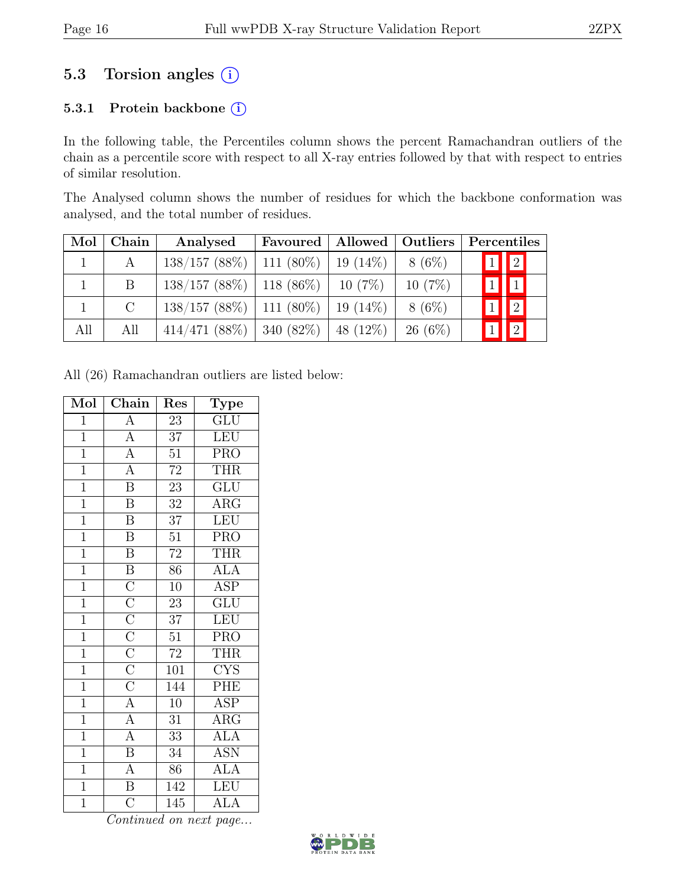# 5.3 Torsion angles  $(i)$

#### 5.3.1 Protein backbone (i)

In the following table, the Percentiles column shows the percent Ramachandran outliers of the chain as a percentile score with respect to all X-ray entries followed by that with respect to entries of similar resolution.

The Analysed column shows the number of residues for which the backbone conformation was analysed, and the total number of residues.

| Mol | Chain         | Analysed                      | Favoured     | Allowed   Outliers |           | Percentiles |             |
|-----|---------------|-------------------------------|--------------|--------------------|-----------|-------------|-------------|
|     |               | $138/157$ (88\%)   111 (80\%) |              | $19(14\%)$         | $8(6\%)$  | 1           | $\sqrt{2}$  |
|     | <sub>B</sub>  | $138/157$ (88%)   118 (86%)   |              | $10(7\%)$          | $10(7\%)$ | $1\,$       |             |
|     | $\mathcal{C}$ | $138/157$ (88\%)   111 (80\%) |              | $19(14\%)$         | $8(6\%)$  |             | $\sqrt{2}$  |
| All | All           | 414/471(88%)                  | 340 $(82\%)$ | 48 (12\%)          | $26(6\%)$ |             | $\boxed{2}$ |

All (26) Ramachandran outliers are listed below:

| Mol            | Chain                                                                                                                                           | Res              | Type                      |
|----------------|-------------------------------------------------------------------------------------------------------------------------------------------------|------------------|---------------------------|
| $\overline{1}$ | $\overline{A}$                                                                                                                                  | $\overline{23}$  | $\overline{\mathrm{GLU}}$ |
| $\overline{1}$ | $\frac{\overline{A}}{\overline{A}}$                                                                                                             | $\overline{37}$  | <b>LEU</b>                |
| $\overline{1}$ |                                                                                                                                                 | $\overline{51}$  | <b>PRO</b>                |
| $\overline{1}$ | $\frac{\overline{A}}{B}$                                                                                                                        | $\overline{72}$  | <b>THR</b>                |
| $\overline{1}$ |                                                                                                                                                 | $\overline{23}$  | <b>GLU</b>                |
| $\overline{1}$ | $\overline{\mathbf{B}}$                                                                                                                         | $\overline{32}$  | $\rm{ARG}$                |
| $\overline{1}$ | $\overline{\mathbf{B}}$                                                                                                                         | $\overline{37}$  | LEU                       |
| $\overline{1}$ | $\overline{\mathrm{B}}$                                                                                                                         | $\overline{51}$  | <b>PRO</b>                |
| $\overline{1}$ | $\overline{\mathrm{B}}$                                                                                                                         | $\overline{72}$  | <b>THR</b>                |
| $\overline{1}$ | $\overline{B}$                                                                                                                                  | 86               | <b>ALA</b>                |
| $\overline{1}$ | $\frac{\overline{C}}{\overline{C}}$ $\frac{\overline{C}}{\overline{C}}$ $\frac{\overline{C}}{\overline{C}}$ $\frac{\overline{C}}{\overline{C}}$ | $\overline{10}$  | <b>ASP</b>                |
| $\overline{1}$ |                                                                                                                                                 | 23               | $\overline{\text{GLU}}$   |
| $\overline{1}$ |                                                                                                                                                 | 37               | <b>LEU</b>                |
| $\overline{1}$ |                                                                                                                                                 | $\overline{51}$  | $\overline{\text{PRO}}$   |
| $\overline{1}$ |                                                                                                                                                 | $72\,$           | <b>THR</b>                |
| $\overline{1}$ |                                                                                                                                                 | 101              | <b>CYS</b>                |
| $\overline{1}$ |                                                                                                                                                 | 144              | PHE                       |
| $\overline{1}$ | $\overline{A}$                                                                                                                                  | $\overline{10}$  | <b>ASP</b>                |
| $\overline{1}$ | $\overline{A}$                                                                                                                                  | $\overline{31}$  | $\overline{\rm{ARG}}$     |
| $\overline{1}$ | $\overline{A}$                                                                                                                                  | $\overline{33}$  | <b>ALA</b>                |
| $\overline{1}$ | $\overline{\mathbf{B}}$                                                                                                                         | $\overline{3}4$  | $\overline{\mathrm{ASN}}$ |
| $\overline{1}$ | $\frac{\overline{A}}{\overline{B}}$                                                                                                             | 86               | <b>ALA</b>                |
| $\overline{1}$ |                                                                                                                                                 | 142              | LEU                       |
| $\overline{1}$ | $\overline{\rm C}$                                                                                                                              | $\overline{145}$ | <b>ALA</b>                |

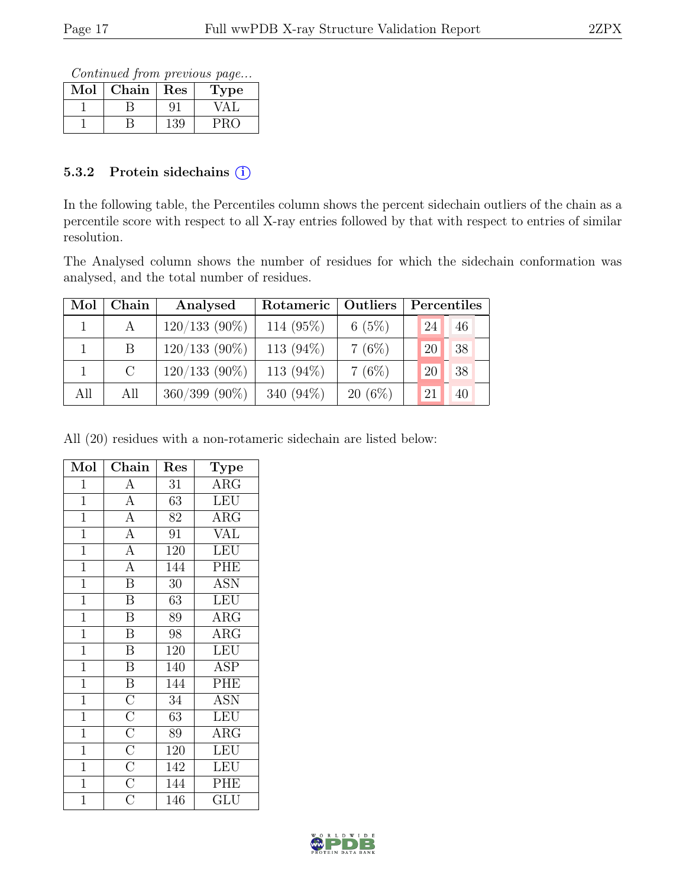Continued from previous page...

| Mol | Chain | Res | Type |
|-----|-------|-----|------|
|     |       |     |      |
|     |       | 139 |      |

#### 5.3.2 Protein sidechains  $(i)$

In the following table, the Percentiles column shows the percent sidechain outliers of the chain as a percentile score with respect to all X-ray entries followed by that with respect to entries of similar resolution.

The Analysed column shows the number of residues for which the sidechain conformation was analysed, and the total number of residues.

| Mol | Chain   | Analysed           | Rotameric    | Outliers  |    | Percentiles |
|-----|---------|--------------------|--------------|-----------|----|-------------|
|     |         | $120/133$ (90%)    | 114 (95%)    | 6(5%)     | 24 | 46          |
|     | B       | $120/133$ (90%)    | 113 $(94\%)$ | 7(6%)     | 20 | 38          |
|     | $\rm C$ | $120/133$ (90%)    | 113 $(94\%)$ | 7(6%)     | 20 | 38          |
| All | All     | $360/399$ $(90\%)$ | 340 $(94\%)$ | $20(6\%)$ | 21 | 40          |

All (20) residues with a non-rotameric sidechain are listed below:

| Mol            | $Ch\overline{ain}$                                                                                          | Res              | Type                           |
|----------------|-------------------------------------------------------------------------------------------------------------|------------------|--------------------------------|
| $\mathbf 1$    | $\overline{A}$                                                                                              | 31               | $\overline{\rm{ARG}}$          |
| $\mathbf{1}$   | $\overline{\rm A}$                                                                                          | 63               | <b>LEU</b>                     |
| $\mathbf{1}$   | $\overline{A}$                                                                                              | 82               | $\overline{\text{A}}\text{RG}$ |
| $\overline{1}$ | $\overline{A}$                                                                                              | 91               | $\overline{\text{VAL}}$        |
| $\mathbf{1}$   | $\overline{A}$                                                                                              | 120              | <b>LEU</b>                     |
| $\overline{1}$ | $\overline{A}$                                                                                              | 144              | PHE                            |
| $\mathbf{1}$   | $\overline{\text{B}}$                                                                                       | 30               | <b>ASN</b>                     |
| $\overline{1}$ | $\overline{\mathrm{B}}$                                                                                     | 63               | <b>LEU</b>                     |
| $\mathbf{1}$   | $\overline{\mathbf{B}}$                                                                                     | 89               | $\rm{ARG}$                     |
| $\mathbf{1}$   | $\overline{\mathrm{B}}$                                                                                     | 98               | $\rm{ARG}$                     |
| $\mathbf{1}$   | $\overline{\mathbf{B}}$                                                                                     | 120              | <b>LEU</b>                     |
| $\mathbf{1}$   | $\overline{\mathrm{B}}$                                                                                     | 140              | $\overline{A}SP$               |
| $\mathbf{1}$   | $\overline{B}$                                                                                              | 144              | PHE                            |
| $\mathbf{1}$   |                                                                                                             | 34               | <b>ASN</b>                     |
| $\overline{1}$ |                                                                                                             | 63               | <b>LEU</b>                     |
| $\mathbf{1}$   |                                                                                                             | 89               | $\rm{ARG}$                     |
| $\mathbf{1}$   |                                                                                                             | 120              | LEU                            |
| $\mathbf{1}$   | $\frac{\overline{C}}{\overline{C}}$ $\frac{\overline{C}}{\overline{C}}$ $\frac{\overline{C}}{\overline{C}}$ | $\overline{1}42$ | <b>LEU</b>                     |
| $\overline{1}$ |                                                                                                             | 144              | PHE                            |
| $\overline{1}$ |                                                                                                             | 146              | GLU                            |

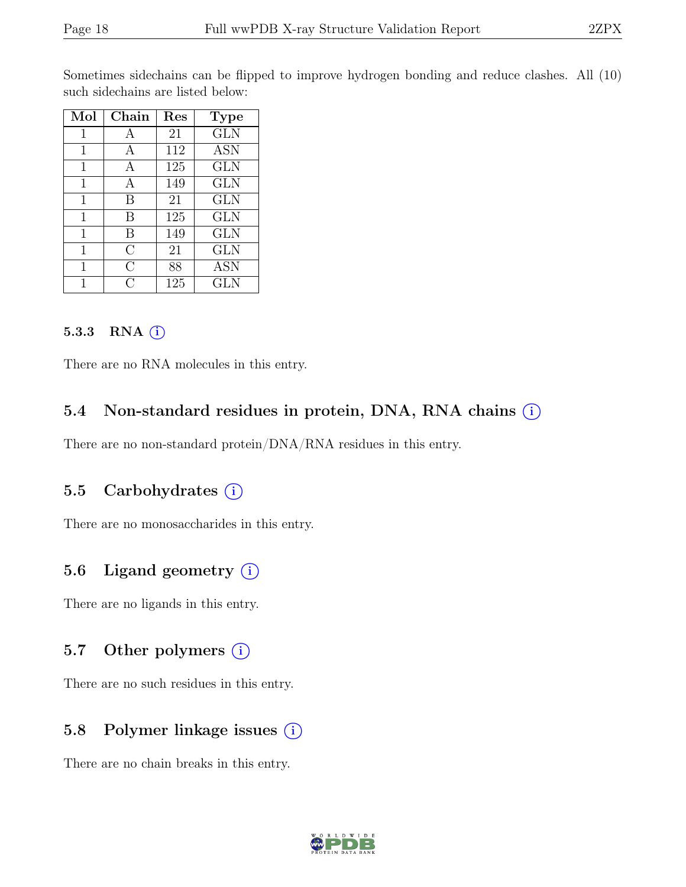Sometimes sidechains can be flipped to improve hydrogen bonding and reduce clashes. All (10) such sidechains are listed below:

| Mol | Chain   | Res | <b>Type</b> |
|-----|---------|-----|-------------|
| 1   |         | 21  | <b>GLN</b>  |
| 1   | А       | 112 | <b>ASN</b>  |
| 1   | А       | 125 | <b>GLN</b>  |
| 1   | А       | 149 | GLN         |
| 1   | В       | 21  | GLN         |
| 1   | В       | 125 | <b>GLN</b>  |
| 1   | B       | 149 | GLN         |
| 1   | $\rm C$ | 21  | <b>GLN</b>  |
| 1   | С       | 88  | <b>ASN</b>  |
|     | ( )     | 125 | GLN         |

#### 5.3.3 RNA  $(i)$

There are no RNA molecules in this entry.

### 5.4 Non-standard residues in protein, DNA, RNA chains  $(i)$

There are no non-standard protein/DNA/RNA residues in this entry.

#### 5.5 Carbohydrates  $(i)$

There are no monosaccharides in this entry.

### 5.6 Ligand geometry  $(i)$

There are no ligands in this entry.

#### 5.7 Other polymers  $(i)$

There are no such residues in this entry.

### 5.8 Polymer linkage issues (i)

There are no chain breaks in this entry.

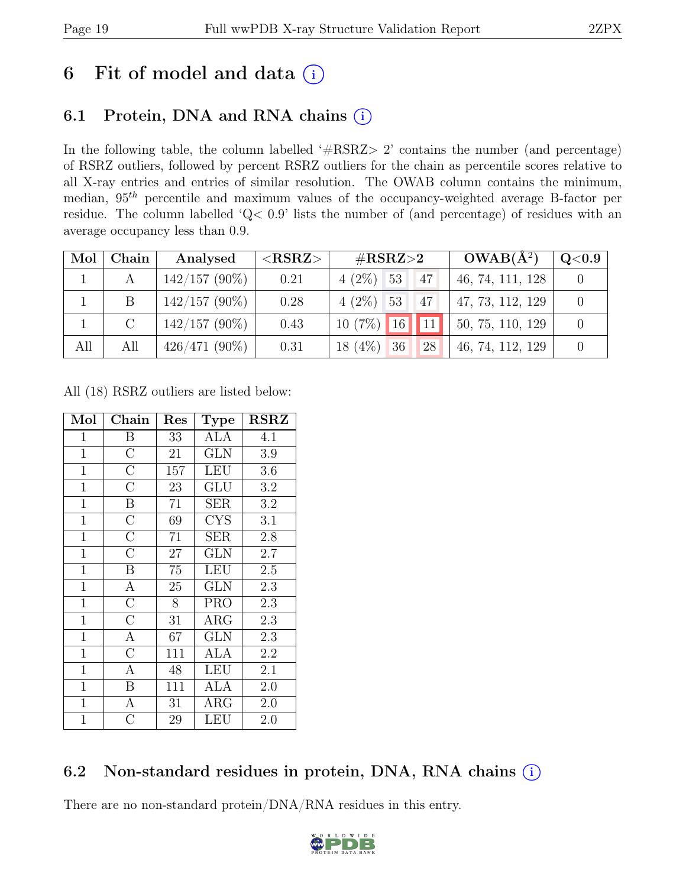# 6 Fit of model and data  $(i)$

# 6.1 Protein, DNA and RNA chains  $(i)$

In the following table, the column labelled ' $\#\text{RSRZ}>2$ ' contains the number (and percentage) of RSRZ outliers, followed by percent RSRZ outliers for the chain as percentile scores relative to all X-ray entries and entries of similar resolution. The OWAB column contains the minimum, median,  $95<sup>th</sup>$  percentile and maximum values of the occupancy-weighted average B-factor per residue. The column labelled 'Q< 0.9' lists the number of (and percentage) of residues with an average occupancy less than 0.9.

| Mol | Chain         | Analysed        | ${ <\hspace{-1.5pt}{\mathrm{RSRZ}} \hspace{-1.5pt}>}$ | $\#\text{RSRZ}\text{>2}$            | $OWAB(A^2)$      | $\rm Q\textcolor{black}{<}0.9$ |
|-----|---------------|-----------------|-------------------------------------------------------|-------------------------------------|------------------|--------------------------------|
|     |               | $142/157(90\%)$ | 0.21                                                  | $4(2\%)$ 53<br>47                   | 46, 74, 111, 128 |                                |
|     | B             | $142/157(90\%)$ | 0.28                                                  | $4(2\%)$ 53<br>47                   | 47, 73, 112, 129 |                                |
|     | $\mathcal{C}$ | $142/157(90\%)$ | 0.43                                                  | $10(7\%)$ $16$ 11                   | 50, 75, 110, 129 |                                |
| All | All           | $426/471(90\%)$ | 0.31                                                  | (4%)<br>36<br>28<br>18 <sup>1</sup> | 46, 74, 112, 129 |                                |

All (18) RSRZ outliers are listed below:

| Mol            | Chain              | Res | <b>Type</b> | <b>RSRZ</b> |
|----------------|--------------------|-----|-------------|-------------|
| 1              | Β                  | 33  | ALA         | 4.1         |
| $\mathbf{1}$   | $\overline{\rm C}$ | 21  | <b>GLN</b>  | 3.9         |
| $\mathbf 1$    | $\overline{\rm C}$ | 157 | <b>LEU</b>  | 3.6         |
| $\mathbf{1}$   | $\overline{C}$     | 23  | GLU         | 3.2         |
| $\mathbf{1}$   | $\boldsymbol{B}$   | 71  | <b>SER</b>  | 3.2         |
| $\mathbf{1}$   | $\overline{\rm C}$ | 69  | <b>CYS</b>  | 3.1         |
| $\mathbf{1}$   | $\overline{C}$     | 71  | SER         | 2.8         |
| $\mathbf{1}$   | $\overline{\rm C}$ | 27  | <b>GLN</b>  | 2.7         |
| $\mathbf{1}$   | $\boldsymbol{B}$   | 75  | <b>LEU</b>  | 2.5         |
| $\mathbf{1}$   | $\overline{A}$     | 25  | <b>GLN</b>  | 2.3         |
| $\mathbf{1}$   | $\overline{\rm C}$ | 8   | PRO         | 2.3         |
| $\mathbf{1}$   | $\overline{C}$     | 31  | $\rm{ARG}$  | 2.3         |
| $\mathbf{1}$   | А                  | 67  | <b>GLN</b>  | 2.3         |
| $\mathbf{1}$   | $\overline{\rm C}$ | 111 | ALA         | 2.2         |
| $\mathbf{1}$   | А                  | 48  | LEU         | 2.1         |
| $\mathbf 1$    | B                  | 111 | <b>ALA</b>  | 2.0         |
| $\mathbf 1$    | $\mathbf{A}$       | 31  | $\rm{ARG}$  | 2.0         |
| $\overline{1}$ | $\overline{\rm C}$ | 29  | LEU         | 2.0         |

### 6.2 Non-standard residues in protein, DNA, RNA chains  $(i)$

There are no non-standard protein/DNA/RNA residues in this entry.